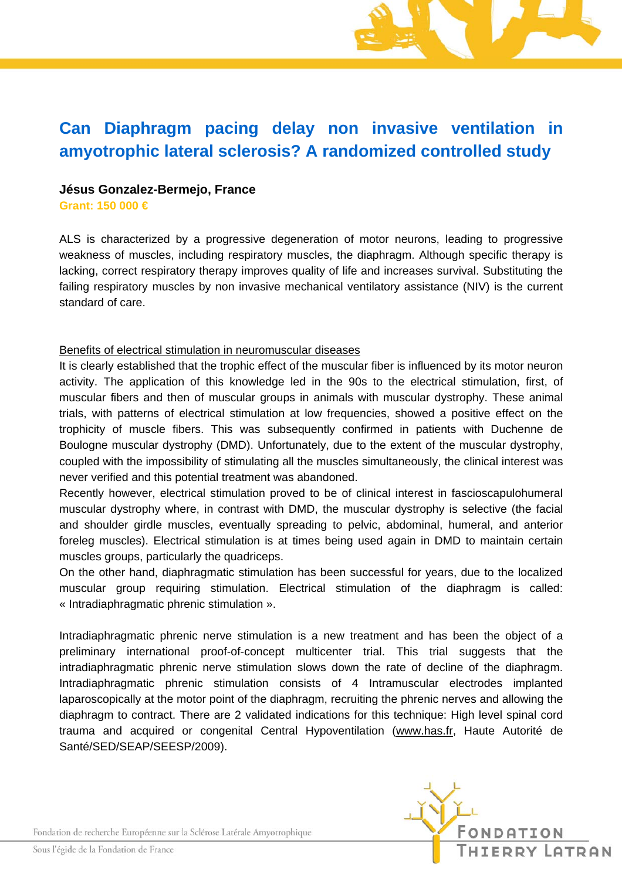# **Can Diaphragm pacing delay non invasive ventilation in amyotrophic lateral sclerosis? A randomized controlled study**

## **Jésus Gonzalez-Bermejo, France**

**Grant: 150 000 €** 

ALS is characterized by a progressive degeneration of motor neurons, leading to progressive weakness of muscles, including respiratory muscles, the diaphragm. Although specific therapy is lacking, correct respiratory therapy improves quality of life and increases survival. Substituting the failing respiratory muscles by non invasive mechanical ventilatory assistance (NIV) is the current standard of care.

#### Benefits of electrical stimulation in neuromuscular diseases

It is clearly established that the trophic effect of the muscular fiber is influenced by its motor neuron activity. The application of this knowledge led in the 90s to the electrical stimulation, first, of muscular fibers and then of muscular groups in animals with muscular dystrophy. These animal trials, with patterns of electrical stimulation at low frequencies, showed a positive effect on the trophicity of muscle fibers. This was subsequently confirmed in patients with Duchenne de Boulogne muscular dystrophy (DMD). Unfortunately, due to the extent of the muscular dystrophy, coupled with the impossibility of stimulating all the muscles simultaneously, the clinical interest was never verified and this potential treatment was abandoned.

Recently however, electrical stimulation proved to be of clinical interest in fascioscapulohumeral muscular dystrophy where, in contrast with DMD, the muscular dystrophy is selective (the facial and shoulder girdle muscles, eventually spreading to pelvic, abdominal, humeral, and anterior foreleg muscles). Electrical stimulation is at times being used again in DMD to maintain certain muscles groups, particularly the quadriceps.

On the other hand, diaphragmatic stimulation has been successful for years, due to the localized muscular group requiring stimulation. Electrical stimulation of the diaphragm is called: « Intradiaphragmatic phrenic stimulation ».

Intradiaphragmatic phrenic nerve stimulation is a new treatment and has been the object of a preliminary international proof-of-concept multicenter trial. This trial suggests that the intradiaphragmatic phrenic nerve stimulation slows down the rate of decline of the diaphragm. Intradiaphragmatic phrenic stimulation consists of 4 Intramuscular electrodes implanted laparoscopically at the motor point of the diaphragm, recruiting the phrenic nerves and allowing the diaphragm to contract. There are 2 validated indications for this technique: High level spinal cord trauma and acquired or congenital Central Hypoventilation (www.has.fr, Haute Autorité de Santé/SED/SEAP/SEESP/2009).

Fondation de recherche Européenne sur la Sclérose Latérale Amyotrophique



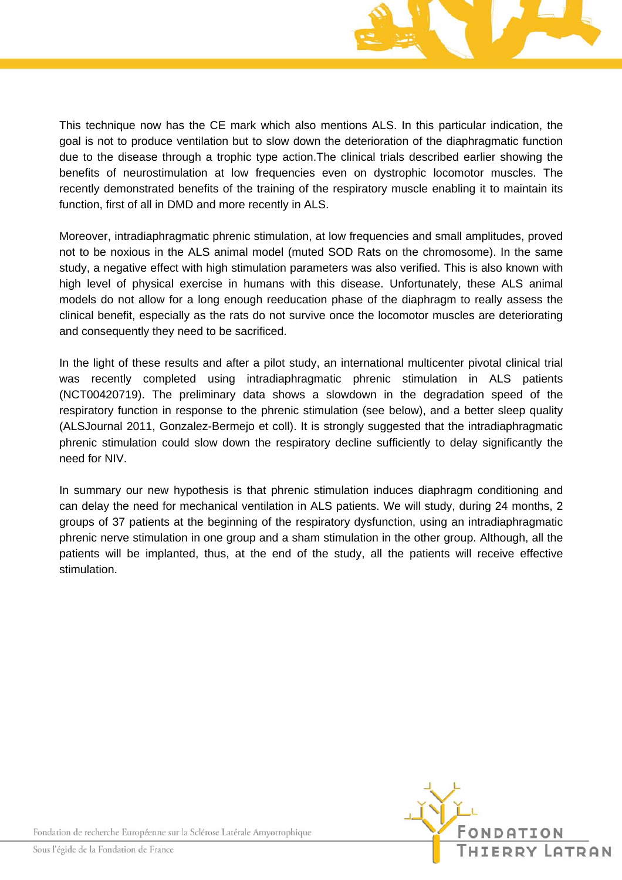

This technique now has the CE mark which also mentions ALS. In this particular indication, the goal is not to produce ventilation but to slow down the deterioration of the diaphragmatic function due to the disease through a trophic type action.The clinical trials described earlier showing the benefits of neurostimulation at low frequencies even on dystrophic locomotor muscles. The recently demonstrated benefits of the training of the respiratory muscle enabling it to maintain its function, first of all in DMD and more recently in ALS.

Moreover, intradiaphragmatic phrenic stimulation, at low frequencies and small amplitudes, proved not to be noxious in the ALS animal model (muted SOD Rats on the chromosome). In the same study, a negative effect with high stimulation parameters was also verified. This is also known with high level of physical exercise in humans with this disease. Unfortunately, these ALS animal models do not allow for a long enough reeducation phase of the diaphragm to really assess the clinical benefit, especially as the rats do not survive once the locomotor muscles are deteriorating and consequently they need to be sacrificed.

In the light of these results and after a pilot study, an international multicenter pivotal clinical trial was recently completed using intradiaphragmatic phrenic stimulation in ALS patients (NCT00420719). The preliminary data shows a slowdown in the degradation speed of the respiratory function in response to the phrenic stimulation (see below), and a better sleep quality (ALSJournal 2011, Gonzalez-Bermejo et coll). It is strongly suggested that the intradiaphragmatic phrenic stimulation could slow down the respiratory decline sufficiently to delay significantly the need for NIV.

In summary our new hypothesis is that phrenic stimulation induces diaphragm conditioning and can delay the need for mechanical ventilation in ALS patients. We will study, during 24 months, 2 groups of 37 patients at the beginning of the respiratory dysfunction, using an intradiaphragmatic phrenic nerve stimulation in one group and a sham stimulation in the other group. Although, all the patients will be implanted, thus, at the end of the study, all the patients will receive effective stimulation.



Fondation de recherche Européenne sur la Sclérose Latérale Amyotrophique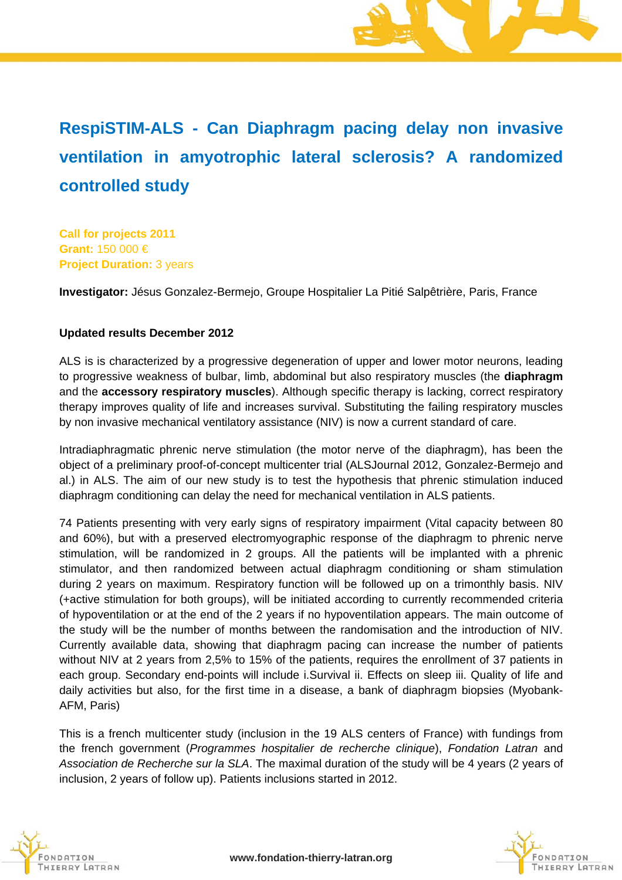# **RespiSTIM-ALS - Can Diaphragm pacing delay non invasive ventilation in amyotrophic lateral sclerosis? A randomized controlled study**

**Call for projects 2011 Grant:** 150 000 € **Project Duration:** 3 years

**Investigator:** Jésus Gonzalez-Bermejo, Groupe Hospitalier La Pitié Salpêtrière, Paris, France

## **Updated results December 2012**

ALS is is characterized by a progressive degeneration of upper and lower motor neurons, leading to progressive weakness of bulbar, limb, abdominal but also respiratory muscles (the **diaphragm** and the **accessory respiratory muscles**). Although specific therapy is lacking, correct respiratory therapy improves quality of life and increases survival. Substituting the failing respiratory muscles by non invasive mechanical ventilatory assistance (NIV) is now a current standard of care.

Intradiaphragmatic phrenic nerve stimulation (the motor nerve of the diaphragm), has been the object of a preliminary proof-of-concept multicenter trial (ALSJournal 2012, Gonzalez-Bermejo and al.) in ALS. The aim of our new study is to test the hypothesis that phrenic stimulation induced diaphragm conditioning can delay the need for mechanical ventilation in ALS patients.

74 Patients presenting with very early signs of respiratory impairment (Vital capacity between 80 and 60%), but with a preserved electromyographic response of the diaphragm to phrenic nerve stimulation, will be randomized in 2 groups. All the patients will be implanted with a phrenic stimulator, and then randomized between actual diaphragm conditioning or sham stimulation during 2 years on maximum. Respiratory function will be followed up on a trimonthly basis. NIV (+active stimulation for both groups), will be initiated according to currently recommended criteria of hypoventilation or at the end of the 2 years if no hypoventilation appears. The main outcome of the study will be the number of months between the randomisation and the introduction of NIV. Currently available data, showing that diaphragm pacing can increase the number of patients without NIV at 2 years from 2,5% to 15% of the patients, requires the enrollment of 37 patients in each group. Secondary end-points will include i.Survival ii. Effects on sleep iii. Quality of life and daily activities but also, for the first time in a disease, a bank of diaphragm biopsies (Myobank-AFM, Paris)

This is a french multicenter study (inclusion in the 19 ALS centers of France) with fundings from the french government (*Programmes hospitalier de recherche clinique*), *Fondation Latran* and *Association de Recherche sur la SLA*. The maximal duration of the study will be 4 years (2 years of inclusion, 2 years of follow up). Patients inclusions started in 2012.